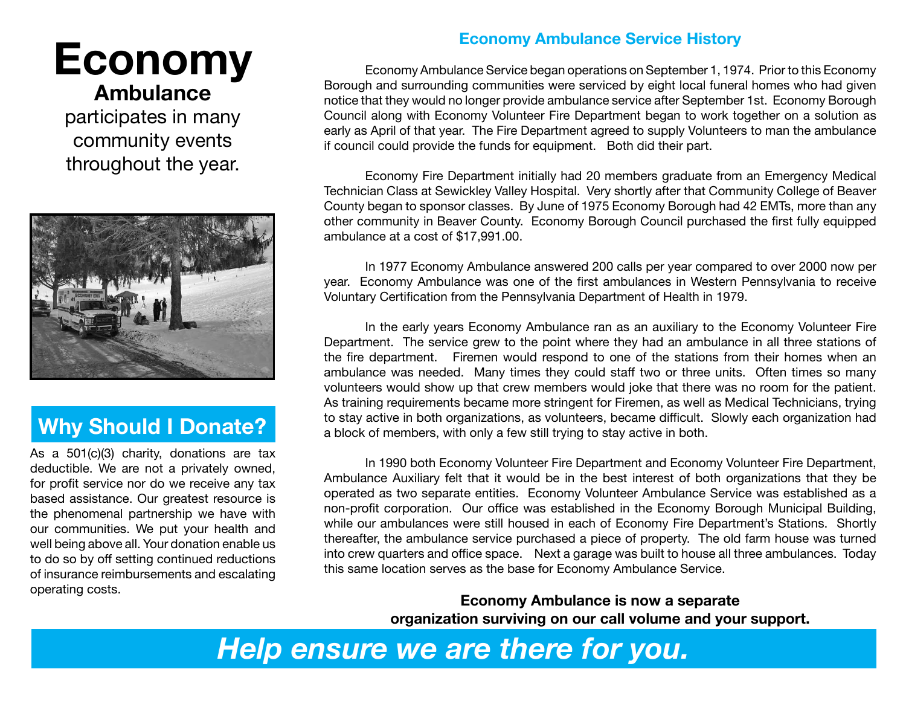## **Economy Ambulance**

participates in many community events throughout the year.



#### **Why Should I Donate?**

As a 501(c)(3) charity, donations are tax deductible. We are not a privately owned, for profit service nor do we receive any tax based assistance. Our greatest resource is the phenomenal partnership we have with our communities. We put your health and well being above all. Your donation enable us to do so by off setting continued reductions of insurance reimbursements and escalating operating costs.

#### **Economy Ambulance Service History**

Economy Ambulance Service began operations on September 1, 1974. Prior to this Economy Borough and surrounding communities were serviced by eight local funeral homes who had given notice that they would no longer provide ambulance service after September 1st. Economy Borough Council along with Economy Volunteer Fire Department began to work together on a solution as early as April of that year. The Fire Department agreed to supply Volunteers to man the ambulance if council could provide the funds for equipment. Both did their part.

Economy Fire Department initially had 20 members graduate from an Emergency Medical Technician Class at Sewickley Valley Hospital. Very shortly after that Community College of Beaver County began to sponsor classes. By June of 1975 Economy Borough had 42 EMTs, more than any other community in Beaver County. Economy Borough Council purchased the first fully equipped ambulance at a cost of \$17,991.00.

In 1977 Economy Ambulance answered 200 calls per year compared to over 2000 now per year. Economy Ambulance was one of the first ambulances in Western Pennsylvania to receive Voluntary Certification from the Pennsylvania Department of Health in 1979.

In the early years Economy Ambulance ran as an auxiliary to the Economy Volunteer Fire Department. The service grew to the point where they had an ambulance in all three stations of the fire department. Firemen would respond to one of the stations from their homes when an ambulance was needed. Many times they could staff two or three units. Often times so many volunteers would show up that crew members would joke that there was no room for the patient. As training requirements became more stringent for Firemen, as well as Medical Technicians, trying to stay active in both organizations, as volunteers, became difficult. Slowly each organization had a block of members, with only a few still trying to stay active in both.

In 1990 both Economy Volunteer Fire Department and Economy Volunteer Fire Department, Ambulance Auxiliary felt that it would be in the best interest of both organizations that they be operated as two separate entities. Economy Volunteer Ambulance Service was established as a non-profit corporation. Our office was established in the Economy Borough Municipal Building, while our ambulances were still housed in each of Economy Fire Department's Stations. Shortly thereafter, the ambulance service purchased a piece of property. The old farm house was turned into crew quarters and office space. Next a garage was built to house all three ambulances. Today this same location serves as the base for Economy Ambulance Service.

> **Economy Ambulance is now a separate organization surviving on our call volume and your support.**

### *Help ensure we are there for you.*